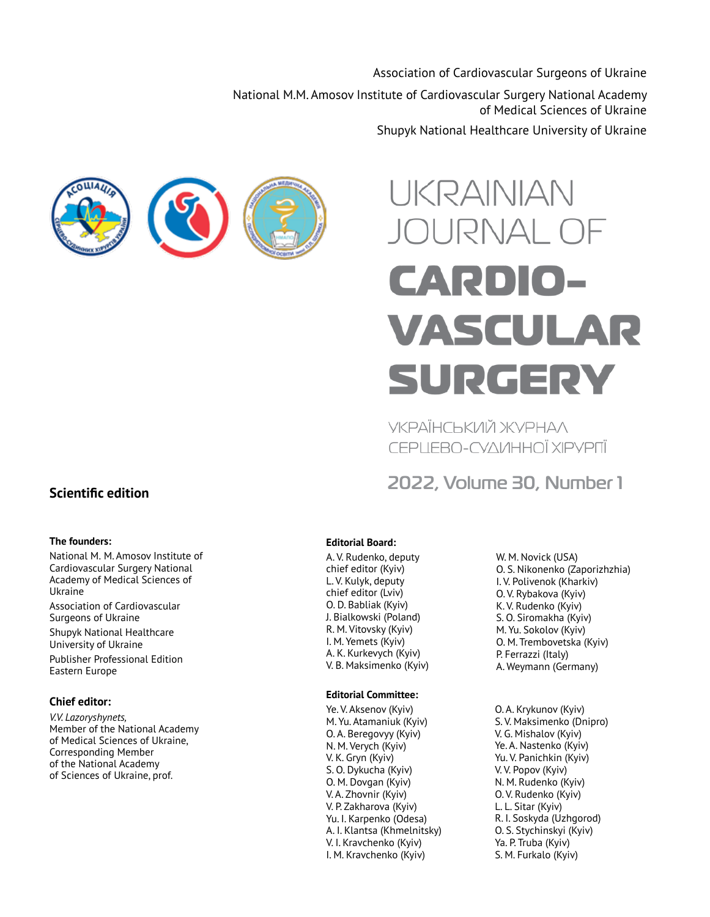Association of Cardiovascular Surgeons of Ukraine

National M.M. Amosov Institute of Cardiovascular Surgery National Academy of Medical Sciences of Ukraine

Shupyk National Healthcare University of Ukraine



# UKRAINIAN JOURNAL OF **CARDIO-**VASCULAR SURGERY

УКРАЇНСЬКИЙ ЖУРНАЛ CEPLIEBO-CYAVIHHOÏ XIPYPITÏ

**2022, Volume 30, Number 1**

# **Scientific edition**

#### **The founders:**

National M. M. Amosov Institute of Cardiovascular Surgery National Academy of Medical Sciences of Ukraine

Association of Cardiovascular Surgeons of Ukraine

Shupyk National Healthcare University of Ukraine

Publisher Professional Edition Eastern Europe

#### **Chief editor:**

*V.V. Lazoryshynets,*  Member of the National Academy of Medical Sciences of Ukraine, Corresponding Member of the National Academy of Sciences of Ukraine, prof.

### **Editorial Board:**

A. V. Rudenko, deputy chief editor (Kyiv) L. V. Kulyk, deputy chief editor (Lviv) O. D. Babliak (Kyiv) J. Bialkowski (Poland) R. M. Vitovsky (Kyiv) I. M. Yemets (Kyiv) A. K. Kurkevych (Kyiv) V. B. Maksimenko (Kyiv)

#### **Editorial Committee:**

Ye. V. Aksenov (Kyiv) M. Yu. Atamaniuk (Kyiv) O. A. Beregovyy (Kyiv) N. M. Verych (Kyiv) V. K. Gryn (Kyiv) S. O. Dykucha (Kyiv) O. M. Dovgan (Kyiv) V. A. Zhovnir (Kyiv) V. P. Zakharova (Kyiv) Yu. I. Karpenko (Odesa) A. I. Klantsa (Khmelnitsky) V. I. Kravchenko (Kyiv) I. M. Kravchenko (Kyiv)

W. M. Novick (USA) O. S. Nikonenko (Zaporizhzhia) I. V. Polivenok (Kharkiv) O. V. Rybakova (Kyiv) K. V. Rudenko (Kyiv) S. O. Siromakha (Kyiv) M. Yu. Sokolov (Kyiv) O. M. Trembovetska (Kyiv) P. Ferrazzi (Italy) A. Weymann (Germany)

O. A. Krykunov (Kyiv) S. V. Maksimenko (Dnipro) V. G. Mishalov (Kyiv) Ye. A. Nastenko (Kyiv) Yu. V. Panichkin (Kyiv) V. V. Popov (Kyiv) N. M. Rudenko (Kyiv) O. V. Rudenko (Kyiv) L. L. Sitar (Kyiv) R. I. Soskyda (Uzhgorod) O. S. Stychinskyi (Kyiv) Ya. P. Truba (Kyiv) S. M. Furkalo (Kyiv)